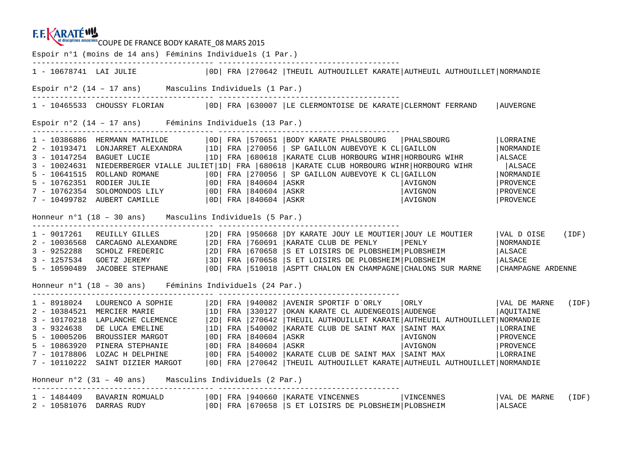## **EEKARATÉWA**

et disciplines associées COUPE DE FRANCE BODY KARATE\_08 MARS 2015 Espoir n°1 (moins de 14 ans) Féminins Individuels (1 Par.) ---------------------------------------- ---------------------------------------- 1 - 10678741 LAI JULIE |0D| FRA |270642 |THEUIL AUTHOUILLET KARATE|AUTHEUIL AUTHOUILLET|NORMANDIE Espoir n°2 (14 – 17 ans) Masculins Individuels (1 Par.) ---------------------------------------- ---------------------------------------- 1 - 10465533 CHOUSSY FLORIAN |0D| FRA |630007 |LE CLERMONTOISE DE KARATE|CLERMONT FERRAND |AUVERGNE Espoir n°2 (14 – 17 ans) Féminins Individuels (13 Par.) ---------------------------------------- ---------------------------------------- 1 - 10386886 HERMANN MATHILDE |0D| FRA |570651 |BODY KARATE PHALSBOURG |PHALSBOURG |LORRAINE **NORMANDIE** 2 - 10193471 LONJARRET ALEXANDRA |1D| FRA |270056 | SP GAILLON AUBEVOYE K CL|GAILLON |NORMANDIE 3 - 10147254 BAGUET LUCIE |1D| FRA |680618 |KARATE CLUB HORBOURG WIHR|HORBOURG WIHR |ALSACE **ALSACE** 3 - 10024631 NIEDERBERGER VIALLE JULIET|1D| FRA |680618 |KARATE CLUB HORBOURG WIHR|HORBOURG WIHR 5 - 10641515 ROLLAND ROMANE |0D| FRA |270056 | SP GAILLON AUBEVOYE K CL|GAILLON |NORMANDIE 5 – 10762351 RODIER JULIE |0D| FRA |840604 |ASKR |AVIGNON |PROVENCE<br>7 – 10762354 SOLOMONDOS LILY |0D| FRA |840604 |ASKR |AVIGNON |PROVEN Honneur n°1 (18 – 30 ans) Masculins Individuels (5 Par.) ---------------------------------------- ---------------------------------------- 1 - 9017261 REUILLY GILLES | 2D| FRA | 950668 | DY KARATE JOUY LE MOUTIER| JOUY LE MOUTIER | VAL DOISE (IDF)<br>2 - 10036568 CARCAGNO ALEXANDRE | 2D| FRA | 760691 | KARATE CLUB DE PENLY | PENLY | NORMANDIE | NORMANDIE<br>3 - 925 Honneur n°1 (18 – 30 ans) Féminins Individuels (24 Par.) ---------------------------------------- ---------------------------------------- 1 - 8918024 LOURENCO A SOPHIE |2D| FRA |940082 |AVENIR SPORTIF D`ORLY |ORLY |VAL DE MARNE (IDF) 2 - 10384521 MERCIER MARIE |1D| FRA |330127 |OKAN KARATE CL AUDENGEOIS|AUDENGE |AQUITAINE 3 - 10170218 LAPLANCHE CLEMENCE |2D| FRA |270642 |THEUIL AUTHOUILLET KARATE|AUTHEUIL AUTHOUILLET|NORMANDIE 3 - 9324638 DE LUCA EMELINE |1D| FRA |540002 |KARATE CLUB DE SAINT MAX |SAINT MAX |LORRAINE 5 - 10005206 BROUSSIER MARGOT |0D| FRA |840604 |ASKR |AVIGNON |PROVENCE 5 - 10863920 PINERA STEPHANIE |0D| FRA |840604 |ASKR |AVIGNON |PROVENCE 7 - 10178806 LOZAC H DELPHINE |0D| FRA |540002 |KARATE CLUB DE SAINT MAX |SAINT MAX |LORRAINE 7 - 10110222 SAINT DIZIER MARGOT |0D| FRA |270642 |THEUIL AUTHOUILLET KARATE|AUTHEUIL AUTHOUILLET|NORMANDIE Honneur n°2 (31 – 40 ans) Masculins Individuels (2 Par.) ---------------------------------------- ----------------------------------------  $1$  -  $1484409$  BAVARIN ROMUALD | OD| FRA |940660 |KARATE VINCENNES | VINCENNES | VAL DE MARNE (IDF) 2 - 10581076 DARRAS RUDY |0D| FRA |670658 |S ET LOISIRS DE PLOBSHEIM|PLOBSHEIM |ALSACE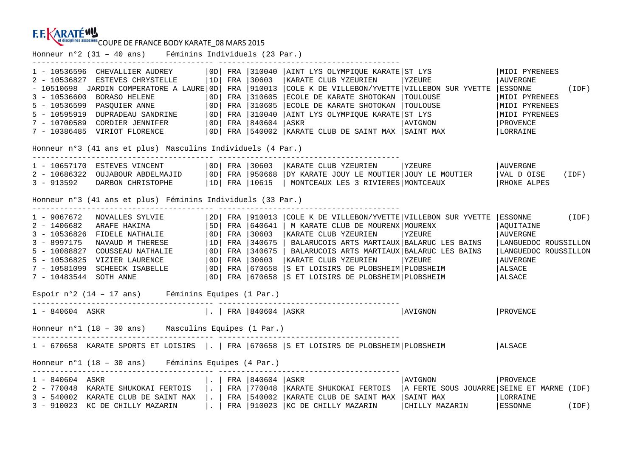## **F.F. KARATÉWY**

et disciplines associées COUPE DE FRANCE BODY KARATE 08 MARS 2015

Honneur n°2 (31 – 40 ans) Féminins Individuels (23 Par.) ---------------------------------------- ---------------------------------------- 1 - 10536596 CHEVALLIER AUDREY |0D| FRA |310040 |AINT LYS OLYMPIQUE KARATE|ST LYS |MIDI PYRENEES 2 - 10536827 ESTEVES CHRYSTELLE |1D| FRA |30603 |KARATE CLUB YZEURIEN |YZEURE |AUVERGNE - 10510698 JARDIN COMPERATORE A LAURE|0D| FRA |910013 |COLE K DE VILLEBON/YVETTE|VILLEBON SUR YVETTE |ESSONNE (IDF) 3 - 10536600 BORASO HELENE | 0D| FRA | 310605 | ECOLE DE KARATE SHOTOKAN | TOULOUSE | MIDI PYRENEES<br>5 - 10536599 PASQUIER ANNE | 0D| FRA | 310605 | ECOLE DE KARATE SHOTOKAN | TOULOUSE | MIDI PYRENEES<br>5 - 10595919 DUPRADEAU Honneur n°3 (41 ans et plus) Masculins Individuels (4 Par.) ---------------------------------------- ---------------------------------------- 1 - 10657170 ESTEVES VINCENT |0D| FRA |30603 |KARATE CLUB YZEURIEN |YZEURE |AUVERGNE 2 – 10686322 OUJABOUR ABDELMAJID |OD| FRA |950668 |DY KARATE JOUY LE MOUTIER|JOUY LE MOUTIER |VAL D OISE (IDF)<br>3 – 913592 DARBON CHRISTOPHE |1D| FRA |10615 | MONTCEAUX LES 3 RIVIERES|MONTCEAUX Honneur n°3 (41 ans et plus) Féminins Individuels (33 Par.) - 1967672 NOVALLES SYLVIE<br>
2 - 1406682 ARAFE HAKIMA | 5D FRA | 910013 | COLE K DE VILLEBON/YVETTE | VILLEBON SUR YVETTE | ESSONNE (IDF)<br>
2 - 1406682 ARAFE HAKIMA | 5D FRA | 30603 | KARATE CLUB YZEUREN | YZEURE<br>
3 - 8997175 Espoir n°2 (14 – 17 ans) Féminins Equipes (1 Par.) ---------------------------------------- ---------------------------------------- 1 - 840604 ASKR |. | FRA |840604 |ASKR |AVIGNON |PROVENCE Honneur n°1 (18 – 30 ans) Masculins Equipes (1 Par.) ---------------------------------------- ---------------------------------------- 1 - 670658 KARATE SPORTS ET LOISIRS |. | FRA |670658 |S ET LOISIRS DE PLOBSHEIM|PLOBSHEIM |ALSACE Honneur n°1 (18 – 30 ans) Féminins Equipes (4 Par.)---------------------------------------- ---------------------------------------- 1 - 840604 ASKR |. | FRA |840604 |ASKR |AVIGNON |PROVENCE 2 - 770048 KARATE SHUKOKAI FERTOIS |. | FRA |770048 |KARATE SHUKOKAI FERTOIS |A FERTE SOUS JOUARRE|SEINE ET MARNE (IDF) 3 - 540002 KARATE CLUB DE SAINT MAX |. | FRA |540002 |KARATE CLUB DE SAINT MAX |SAINT MAX |LORRAINE 3 - 910023 KC DE CHILLY MAZARIN |. | FRA |910023 |KC DE CHILLY MAZARIN |CHILLY MAZARIN |ESSONNE (IDF)